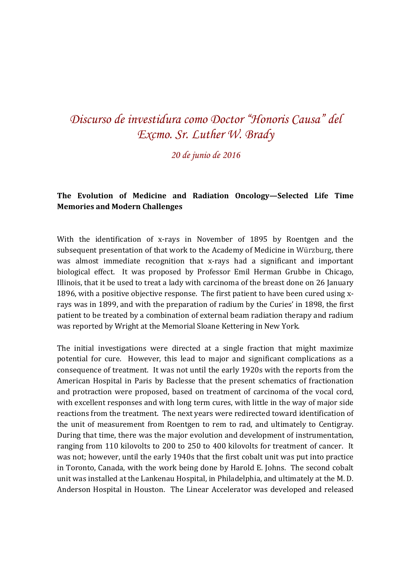## *Discurso de investidura como Doctor "Honoris Causa" del Excmo. Sr. Luther W. Brady*

*20 de junio de 2016* 

## **The Evolution of Medicine and Radiation Oncology—Selected Life Time Memories and Modern Challenges**

With the identification of x-rays in November of 1895 by Roentgen and the subsequent presentation of that work to the Academy of Medicine in Würzburg, there was almost immediate recognition that x-rays had a significant and important biological effect. It was proposed by Professor Emil Herman Grubbe in Chicago, Illinois, that it be used to treat a lady with carcinoma of the breast done on 26 January 1896, with a positive objective response. The first patient to have been cured using xrays was in 1899, and with the preparation of radium by the Curies' in 1898, the first patient to be treated by a combination of external beam radiation therapy and radium was reported by Wright at the Memorial Sloane Kettering in New York.

The initial investigations were directed at a single fraction that might maximize potential for cure. However, this lead to major and significant complications as a consequence of treatment. It was not until the early 1920s with the reports from the American Hospital in Paris by Baclesse that the present schematics of fractionation and protraction were proposed, based on treatment of carcinoma of the vocal cord, with excellent responses and with long term cures, with little in the way of major side reactions from the treatment. The next years were redirected toward identification of the unit of measurement from Roentgen to rem to rad, and ultimately to Centigray. During that time, there was the major evolution and development of instrumentation, ranging from 110 kilovolts to 200 to 250 to 400 kilovolts for treatment of cancer. It was not; however, until the early 1940s that the first cobalt unit was put into practice in Toronto, Canada, with the work being done by Harold E. Johns. The second cobalt unit was installed at the Lankenau Hospital, in Philadelphia, and ultimately at the M. D. Anderson Hospital in Houston. The Linear Accelerator was developed and released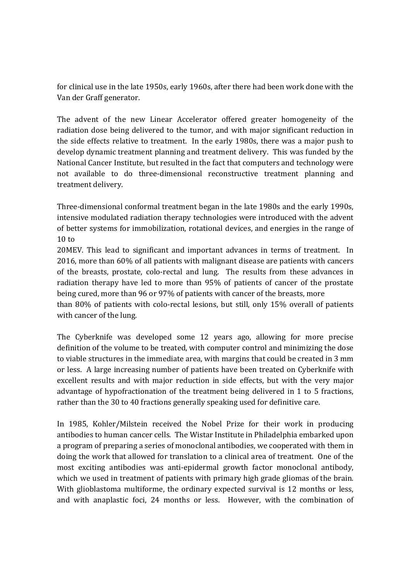for clinical use in the late 1950s, early 1960s, after there had been work done with the Van der Graff generator.

The advent of the new Linear Accelerator offered greater homogeneity of the radiation dose being delivered to the tumor, and with major significant reduction in the side effects relative to treatment. In the early 1980s, there was a major push to develop dynamic treatment planning and treatment delivery. This was funded by the National Cancer Institute, but resulted in the fact that computers and technology were not available to do three-dimensional reconstructive treatment planning and treatment delivery.

Three-dimensional conformal treatment began in the late 1980s and the early 1990s, intensive modulated radiation therapy technologies were introduced with the advent of better systems for immobilization, rotational devices, and energies in the range of 10 to

20MEV. This lead to significant and important advances in terms of treatment. In 2016, more than 60% of all patients with malignant disease are patients with cancers of the breasts, prostate, colo-rectal and lung. The results from these advances in radiation therapy have led to more than 95% of patients of cancer of the prostate being cured, more than 96 or 97% of patients with cancer of the breasts, more than 80% of patients with colo-rectal lesions, but still, only 15% overall of patients with cancer of the lung.

The Cyberknife was developed some 12 years ago, allowing for more precise definition of the volume to be treated, with computer control and minimizing the dose to viable structures in the immediate area, with margins that could be created in 3 mm or less. A large increasing number of patients have been treated on Cyberknife with excellent results and with major reduction in side effects, but with the very major advantage of hypofractionation of the treatment being delivered in 1 to 5 fractions, rather than the 30 to 40 fractions generally speaking used for definitive care.

In 1985, Kohler/Milstein received the Nobel Prize for their work in producing antibodies to human cancer cells. The Wistar Institute in Philadelphia embarked upon a program of preparing a series of monoclonal antibodies, we cooperated with them in doing the work that allowed for translation to a clinical area of treatment. One of the most exciting antibodies was anti-epidermal growth factor monoclonal antibody, which we used in treatment of patients with primary high grade gliomas of the brain. With glioblastoma multiforme, the ordinary expected survival is 12 months or less, and with anaplastic foci, 24 months or less. However, with the combination of